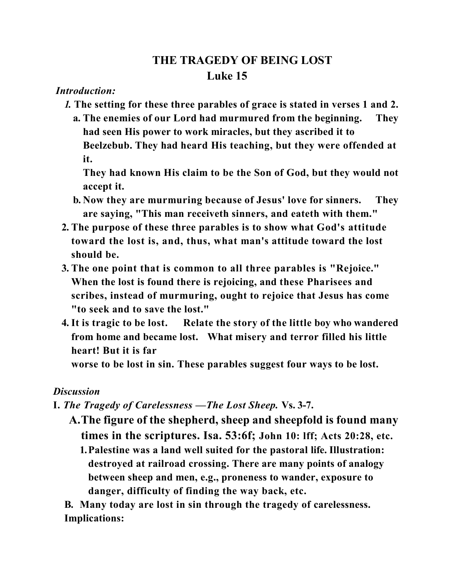## **THE TRAGEDY OF BEING LOST Luke 15**

## *Introduction:*

- *1.* **The setting for these three parables of grace is stated in verses 1 and 2.**
	- **a. The enemies of our Lord had murmured from the beginning. They had seen His power to work miracles, but they ascribed it to Beelzebub. They had heard His teaching, but they were offended at it.**

**They had known His claim to be the Son of God, but they would not accept it.**

- **b. Now they are murmuring because of Jesus' love for sinners. They are saying, "This man receiveth sinners, and eateth with them."**
- **2. The purpose of these three parables is to show what God's attitude toward the lost is, and, thus, what man's attitude toward the lost should be.**
- **3. The one point that is common to all three parables is "Rejoice." When the lost is found there is rejoicing, and these Pharisees and scribes, instead of murmuring, ought to rejoice that Jesus has come "to seek and to save the lost."**
- **4. It is tragic to be lost. Relate the story of the little boy who wandered from home and became lost. What misery and terror filled his little heart! But it is far**

**worse to be lost in sin. These parables suggest four ways to be lost.** 

## *Discussion*

- **I.** *The Tragedy of Carelessness* **—***The Lost Sheep.* **Vs. 3-7.**
	- **A. The figure of the shepherd, sheep and sheepfold is found many times in the scriptures. Isa. 53:6f; John 10: lff; Acts 20:28, etc. 1.Palestine was a land well suited for the pastoral life. Illustration: destroyed at railroad crossing. There are many points of analogy between sheep and men, e.g., proneness to wander, exposure to**

**danger, difficulty of finding the way back, etc.** 

 **B. Many today are lost in sin through the tragedy of carelessness. Implications:**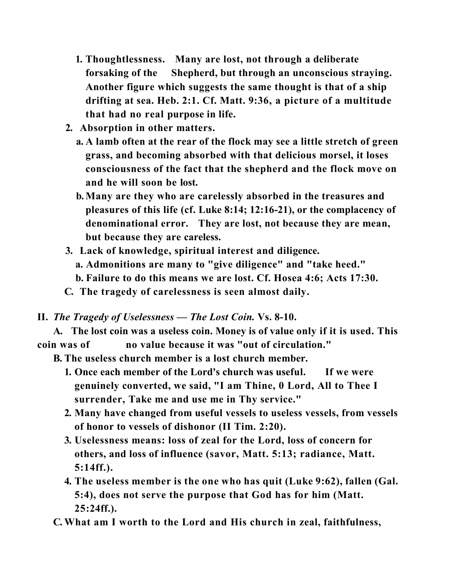- **1. Thoughtlessness. Many are lost, not through a deliberate forsaking of the Shepherd, but through an unconscious straying. Another figure which suggests the same thought is that of a ship drifting at sea. Heb. 2:1. Cf. Matt. 9:36, a picture of a multitude that had no real purpose in life.**
- **2. Absorption in other matters.** 
	- **a. A lamb often at the rear of the flock may see a little stretch of green grass, and becoming absorbed with that delicious morsel, it loses consciousness of the fact that the shepherd and the flock move on and he will soon be lost.**
	- **b. Many are they who are carelessly absorbed in the treasures and pleasures of this life (cf. Luke 8:14; 12:16-21), or the complacency of denominational error. They are lost, not because they are mean, but because they are careless.**
- **3. Lack of knowledge, spiritual interest and diligence. a. Admonitions are many to "give diligence" and "take heed." b. Failure to do this means we are lost. Cf. Hosea 4:6; Acts 17:30.**
- **C. The tragedy of carelessness is seen almost daily.**
- **II.** *The Tragedy of Uselessness* *The Lost Coin.* **Vs. 8-10.**

**A. The lost coin was a useless coin. Money is of value only if it is used. This coin was of no value because it was "out of circulation."**

**B. The useless church member is a lost church member.**

- **1. Once each member of the Lord's church was useful. If we were genuinely converted, we said, "I am Thine, 0 Lord, All to Thee I surrender, Take me and use me in Thy service."**
- **2. Many have changed from useful vessels to useless vessels, from vessels of honor to vessels of dishonor (II Tim. 2:20).**
- **3. Uselessness means: loss of zeal for the Lord, loss of concern for others, and loss of influence (savor, Matt. 5:13; radiance, Matt. 5:14ff.).**
- **4. The useless member is the one who has quit (Luke 9:62), fallen (Gal. 5:4), does not serve the purpose that God has for him (Matt. 25:24ff.).**

**C. What am I worth to the Lord and His church in zeal, faithfulness,**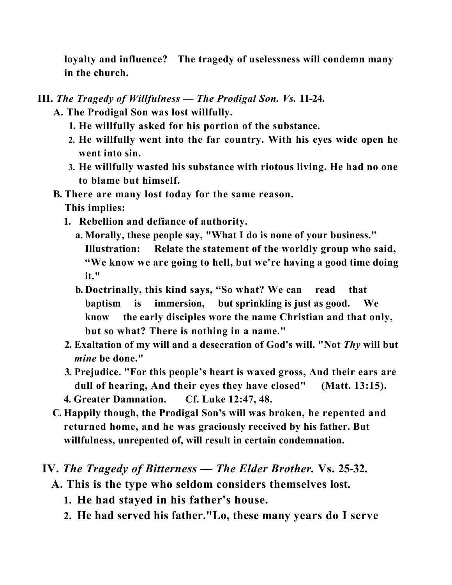**loyalty and influence? The tragedy of uselessness will condemn many in the church.** 

- **III.** *The Tragedy of Willfulness* *The Prodigal Son. Vs.* **11-24.** 
	- **A. The Prodigal Son was lost willfully.**
		- **1. He willfully asked for his portion of the substance.**
		- **2. He willfully went into the far country. With his eyes wide open he went into sin.**
		- **3. He willfully wasted his substance with riotous living. He had no one to blame but himself.**
	- **B. There are many lost today for the same reason. This implies:**
		- **1. Rebellion and defiance of authority.**
			- **a. Morally, these people say, "What I do is none of your business." Illustration: Relate the statement of the worldly group who said, "We know we are going to hell, but we're having a good time doing it."**
			- **b. Doctrinally, this kind says, "So what? We can read that baptism is immersion, but sprinkling is just as good. We know the early disciples wore the name Christian and that only, but so what? There is nothing in a name."**
		- **2. Exaltation of my will and a desecration of God's will. "Not** *Thy* **will but**  *mine* **be done."**
		- **3. Prejudice. "For this people's heart is waxed gross, And their ears are dull of hearing, And their eyes they have closed" (Matt. 13:15). 4. Greater Damnation. Cf. Luke 12:47, 48.**
	- **C. Happily though, the Prodigal Son's will was broken, he repented and** 
		- **returned home, and he was graciously received by his father. But willfulness, unrepented of, will result in certain condemnation.**
- **IV.** *The Tragedy of Bitterness* *The Elder Brother.* **Vs. 25-32.**
	- **A. This is the type who seldom considers themselves lost.**
		- **1. He had stayed in his father's house.**
		- **2. He had served his father."Lo, these many years do I serve**